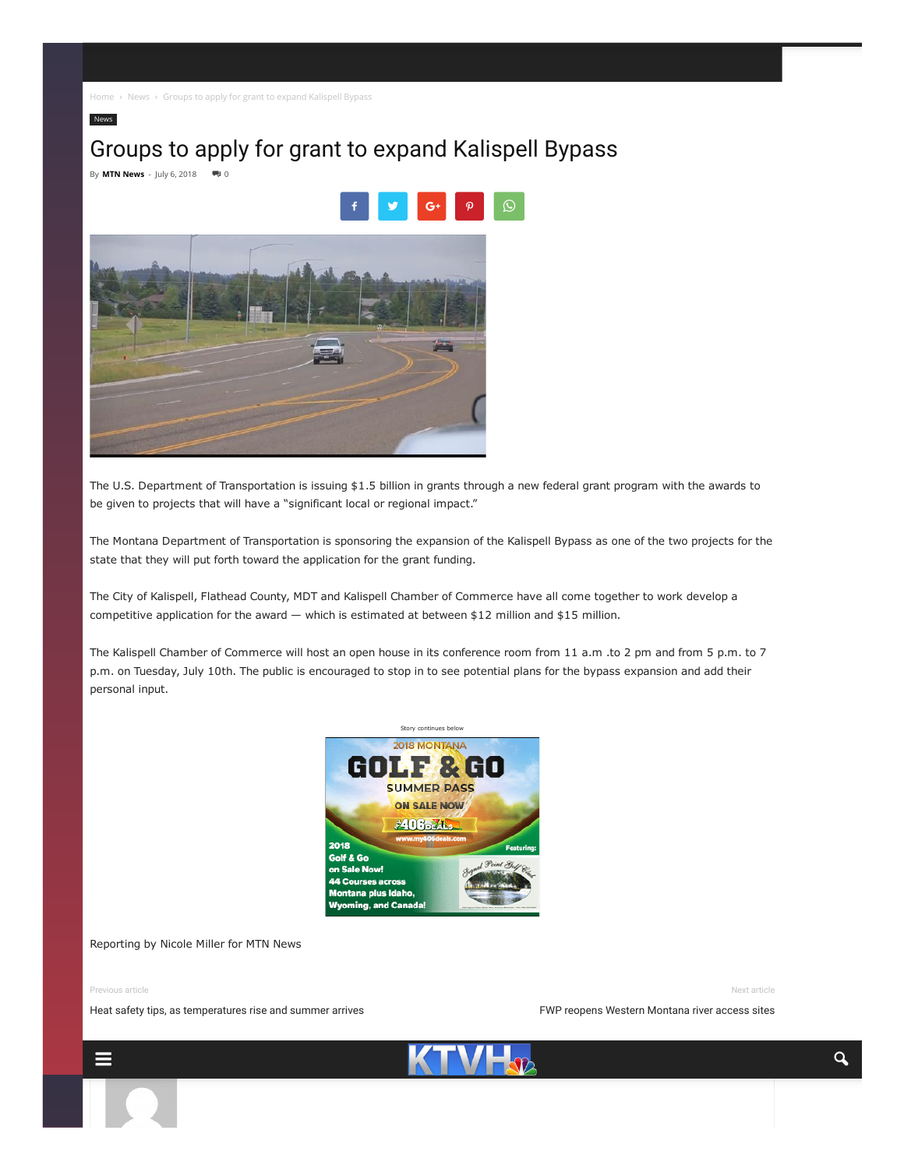[Home](http://www.ktvh.com/) > [News](http://www.ktvh.com/category/news) > Groups to apply for grant to expand Kalispell Bypass

# Groups to apply for grant to expand Kalispell Bypass

By **MTN [News](http://www.ktvh.com/author/dsherman)** - July 6, 2018  $\qquad \qquad \blacksquare$  0

[News](http://www.ktvh.com/category/news)



The U.S. Department of Transportation is issuing \$1.5 billion in grants through a new federal grant program with the awards to be given to projects that will have a "significant local or regional impact."

The Montana Department of Transportation is sponsoring the expansion of the Kalispell Bypass as one of the two projects for the state that they will put forth toward the application for the grant funding.

The City of Kalispell, Flathead County, MDT and Kalispell Chamber of Commerce have all come together to work develop a competitive application for the award — which is estimated at between \$12 million and \$15 million.

The Kalispell Chamber of Commerce will host an open house in its conference room from 11 a.m .to 2 pm and from 5 p.m. to 7 p.m. on Tuesday, July 10th. The public is encouraged to stop in to see potential plans for the bypass expansion and add their personal input.



#### Reporting by Nicole Miller for MTN News

Previous article

Next article

FWP reopens Western [Montana](http://www.ktvh.com/2018/07/fwp-reopens-western-montana-river-access-sites) river access sites

Heat safety tips, as [temperatures](http://www.ktvh.com/2018/07/heat-safety-tips-as-temperatures-rise-and-summer-arrives) rise and summer arrives

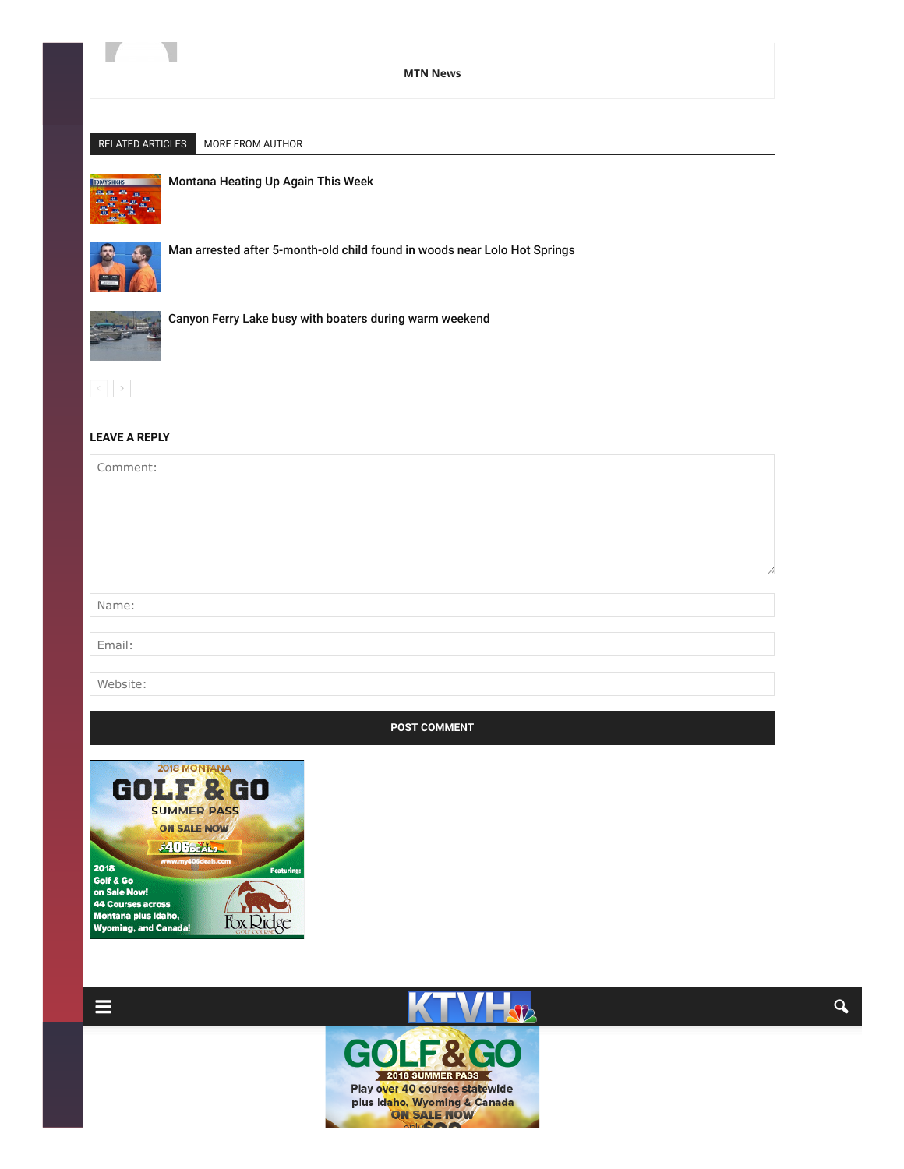

#### MTN [News](http://www.ktvh.com/author/dsherman)

## RELATED ARTICLES MORE FROM AUTHOR



[Montana](http://www.ktvh.com/2018/07/montana-heating-up-again-this-week) Heating Up Again This Week



Man arrested after [5-month-old](http://www.ktvh.com/2018/07/man-arrested-after-5-month-old-child-found-in-woods-near-lolo-hot-springs) child found in woods near Lolo Hot Springs



Canyon Ferry Lake busy with boaters during warm [weekend](http://www.ktvh.com/2018/07/canyon-ferry-lake-busy-with-boaters-during-warm-weekend)



## <span id="page-1-0"></span>LEAVE A REPLY

Comment: Name: Email: Website:

### POST COMMENT